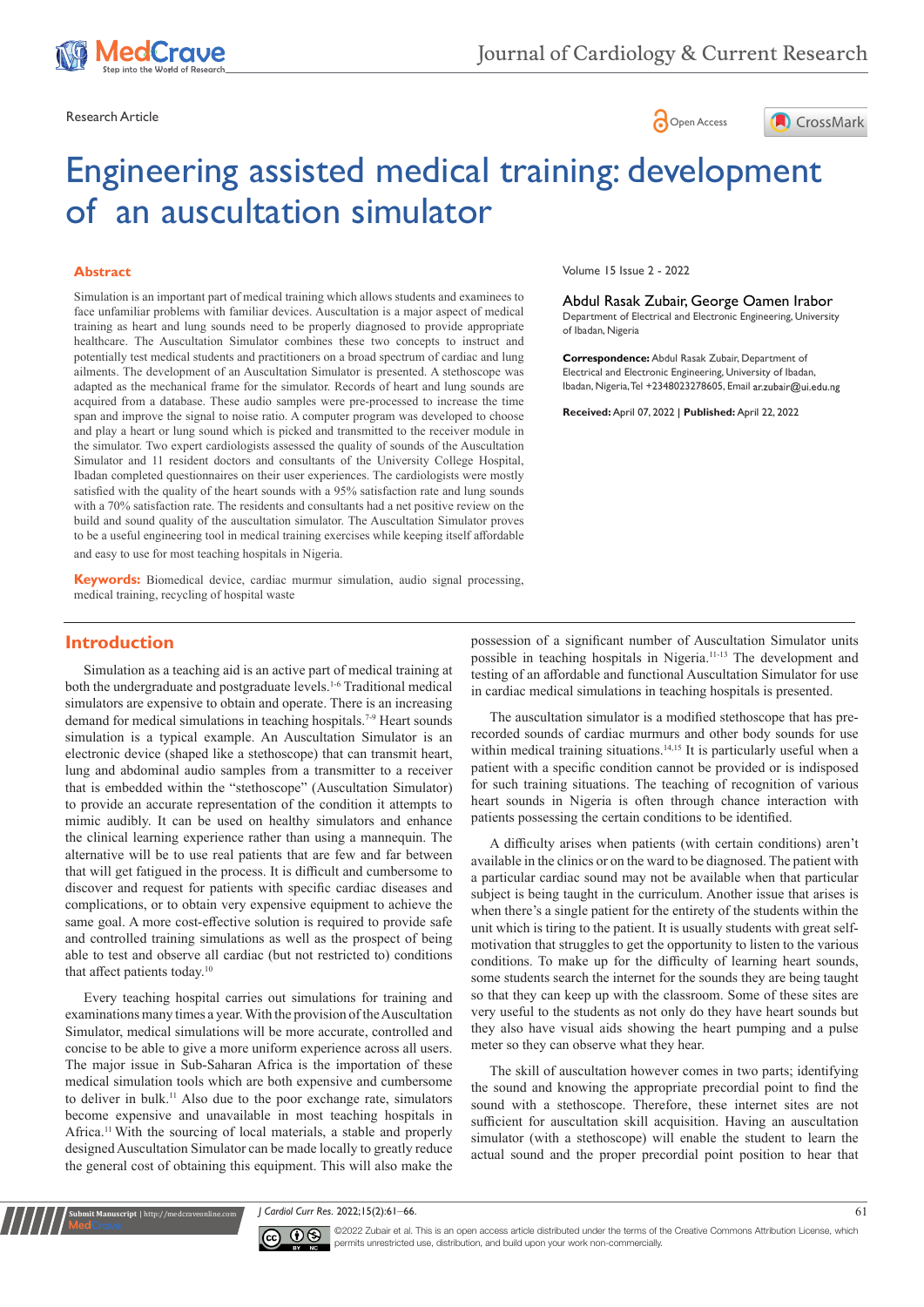





# Engineering assisted medical training: development of an auscultation simulator

#### **Abstract**

Simulation is an important part of medical training which allows students and examinees to face unfamiliar problems with familiar devices. Auscultation is a major aspect of medical training as heart and lung sounds need to be properly diagnosed to provide appropriate healthcare. The Auscultation Simulator combines these two concepts to instruct and potentially test medical students and practitioners on a broad spectrum of cardiac and lung ailments. The development of an Auscultation Simulator is presented. A stethoscope was adapted as the mechanical frame for the simulator. Records of heart and lung sounds are acquired from a database. These audio samples were pre-processed to increase the time span and improve the signal to noise ratio. A computer program was developed to choose and play a heart or lung sound which is picked and transmitted to the receiver module in the simulator. Two expert cardiologists assessed the quality of sounds of the Auscultation Simulator and 11 resident doctors and consultants of the University College Hospital, Ibadan completed questionnaires on their user experiences. The cardiologists were mostly satisfied with the quality of the heart sounds with a 95% satisfaction rate and lung sounds with a 70% satisfaction rate. The residents and consultants had a net positive review on the build and sound quality of the auscultation simulator. The Auscultation Simulator proves to be a useful engineering tool in medical training exercises while keeping itself affordable and easy to use for most teaching hospitals in Nigeria.

**Keywords:** Biomedical device, cardiac murmur simulation, audio signal processing, medical training, recycling of hospital waste

Volume 15 Issue 2 - 2022

Abdul Rasak Zubair, George Oamen Irabor Department of Electrical and Electronic Engineering, University of Ibadan, Nigeria

**Correspondence:** Abdul Rasak Zubair, Department of Electrical and Electronic Engineering, University of Ibadan, Ibadan, Nigeria, Tel +2348023278605, Email ar.zubair@ui.edu.ng

**Received:** April 07, 2022 | **Published:** April 22, 2022

## **Introduction**

Simulation as a teaching aid is an active part of medical training at both the undergraduate and postgraduate levels.<sup>1-6</sup> Traditional medical simulators are expensive to obtain and operate. There is an increasing demand for medical simulations in teaching hospitals.<sup>7-9</sup> Heart sounds simulation is a typical example. An Auscultation Simulator is an electronic device (shaped like a stethoscope) that can transmit heart, lung and abdominal audio samples from a transmitter to a receiver that is embedded within the "stethoscope" (Auscultation Simulator) to provide an accurate representation of the condition it attempts to mimic audibly. It can be used on healthy simulators and enhance the clinical learning experience rather than using a mannequin. The alternative will be to use real patients that are few and far between that will get fatigued in the process. It is difficult and cumbersome to discover and request for patients with specific cardiac diseases and complications, or to obtain very expensive equipment to achieve the same goal. A more cost-effective solution is required to provide safe and controlled training simulations as well as the prospect of being able to test and observe all cardiac (but not restricted to) conditions that affect patients today.<sup>10</sup>

Every teaching hospital carries out simulations for training and examinations many times a year. With the provision of the Auscultation Simulator, medical simulations will be more accurate, controlled and concise to be able to give a more uniform experience across all users. The major issue in Sub-Saharan Africa is the importation of these medical simulation tools which are both expensive and cumbersome to deliver in bulk.11 Also due to the poor exchange rate, simulators become expensive and unavailable in most teaching hospitals in Africa.11 With the sourcing of local materials, a stable and properly designed Auscultation Simulator can be made locally to greatly reduce the general cost of obtaining this equipment. This will also make the

**It Manuscript** | http://medcraveonline.c

possession of a significant number of Auscultation Simulator units possible in teaching hospitals in Nigeria.11-13 The development and testing of an affordable and functional Auscultation Simulator for use in cardiac medical simulations in teaching hospitals is presented.

The auscultation simulator is a modified stethoscope that has prerecorded sounds of cardiac murmurs and other body sounds for use within medical training situations.<sup>14,15</sup> It is particularly useful when a patient with a specific condition cannot be provided or is indisposed for such training situations. The teaching of recognition of various heart sounds in Nigeria is often through chance interaction with patients possessing the certain conditions to be identified.

A difficulty arises when patients (with certain conditions) aren't available in the clinics or on the ward to be diagnosed. The patient with a particular cardiac sound may not be available when that particular subject is being taught in the curriculum. Another issue that arises is when there's a single patient for the entirety of the students within the unit which is tiring to the patient. It is usually students with great selfmotivation that struggles to get the opportunity to listen to the various conditions. To make up for the difficulty of learning heart sounds, some students search the internet for the sounds they are being taught so that they can keep up with the classroom. Some of these sites are very useful to the students as not only do they have heart sounds but they also have visual aids showing the heart pumping and a pulse meter so they can observe what they hear.

The skill of auscultation however comes in two parts; identifying the sound and knowing the appropriate precordial point to find the sound with a stethoscope. Therefore, these internet sites are not sufficient for auscultation skill acquisition. Having an auscultation simulator (with a stethoscope) will enable the student to learn the actual sound and the proper precordial point position to hear that

*J Cardiol Curr Res.* 2022;15(2):61‒66. 61



©2022 Zubair et al. This is an open access article distributed under the terms of the Creative Commons Attribution License, which permits unrestricted use, distribution, and build upon your work non-commercially.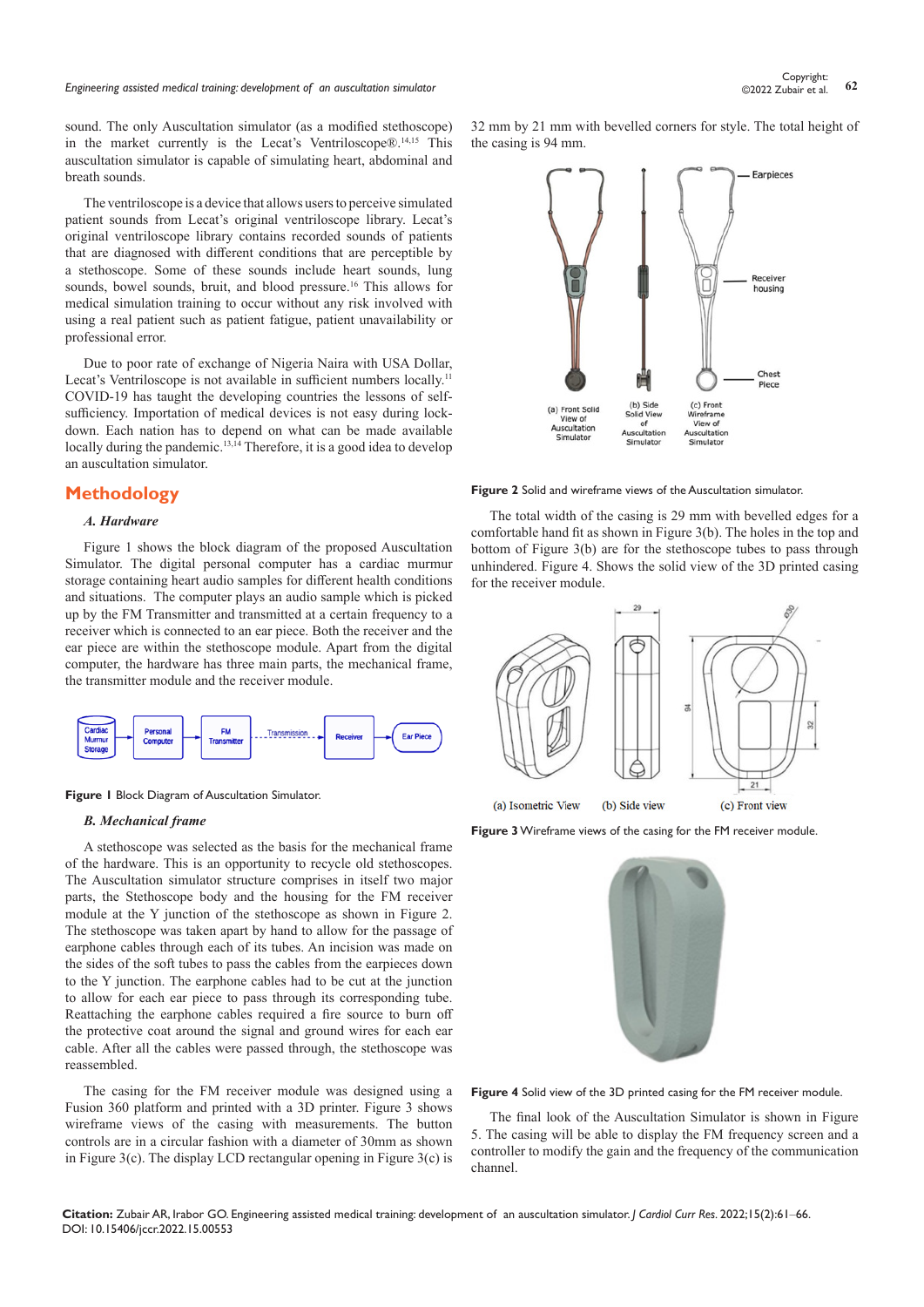## *Engineering assisted medical training: development of an auscultation simulator* **<sup>62</sup>** Copyright:

sound. The only Auscultation simulator (as a modified stethoscope) in the market currently is the Lecat's Ventriloscope®.14,15 This auscultation simulator is capable of simulating heart, abdominal and breath sounds.

The ventriloscope is a device that allows users to perceive simulated patient sounds from Lecat's original ventriloscope library. Lecat's original ventriloscope library contains recorded sounds of patients that are diagnosed with different conditions that are perceptible by a stethoscope. Some of these sounds include heart sounds, lung sounds, bowel sounds, bruit, and blood pressure.<sup>16</sup> This allows for medical simulation training to occur without any risk involved with using a real patient such as patient fatigue, patient unavailability or professional error.

Due to poor rate of exchange of Nigeria Naira with USA Dollar, Lecat's Ventriloscope is not available in sufficient numbers locally.<sup>11</sup> COVID-19 has taught the developing countries the lessons of selfsufficiency. Importation of medical devices is not easy during lockdown. Each nation has to depend on what can be made available locally during the pandemic.<sup>13,14</sup> Therefore, it is a good idea to develop an auscultation simulator.

## **Methodology**

#### *A. Hardware*

Figure 1 shows the block diagram of the proposed Auscultation Simulator. The digital personal computer has a cardiac murmur storage containing heart audio samples for different health conditions and situations. The computer plays an audio sample which is picked up by the FM Transmitter and transmitted at a certain frequency to a receiver which is connected to an ear piece. Both the receiver and the ear piece are within the stethoscope module. Apart from the digital computer, the hardware has three main parts, the mechanical frame, the transmitter module and the receiver module.





#### *B. Mechanical frame*

A stethoscope was selected as the basis for the mechanical frame of the hardware. This is an opportunity to recycle old stethoscopes. The Auscultation simulator structure comprises in itself two major parts, the Stethoscope body and the housing for the FM receiver module at the Y junction of the stethoscope as shown in Figure 2. The stethoscope was taken apart by hand to allow for the passage of earphone cables through each of its tubes. An incision was made on the sides of the soft tubes to pass the cables from the earpieces down to the Y junction. The earphone cables had to be cut at the junction to allow for each ear piece to pass through its corresponding tube. Reattaching the earphone cables required a fire source to burn off the protective coat around the signal and ground wires for each ear cable. After all the cables were passed through, the stethoscope was reassembled.

The casing for the FM receiver module was designed using a Fusion 360 platform and printed with a 3D printer. Figure 3 shows wireframe views of the casing with measurements. The button controls are in a circular fashion with a diameter of 30mm as shown in Figure 3(c). The display LCD rectangular opening in Figure 3(c) is

32 mm by 21 mm with bevelled corners for style. The total height of the casing is 94 mm.



**Figure 2** Solid and wireframe views of the Auscultation simulator.

The total width of the casing is 29 mm with bevelled edges for a comfortable hand fit as shown in Figure 3(b). The holes in the top and bottom of Figure 3(b) are for the stethoscope tubes to pass through unhindered. Figure 4. Shows the solid view of the 3D printed casing for the receiver module.



**Figure 3** Wireframe views of the casing for the FM receiver module.



**Figure 4** Solid view of the 3D printed casing for the FM receiver module.

The final look of the Auscultation Simulator is shown in Figure 5. The casing will be able to display the FM frequency screen and a controller to modify the gain and the frequency of the communication channel.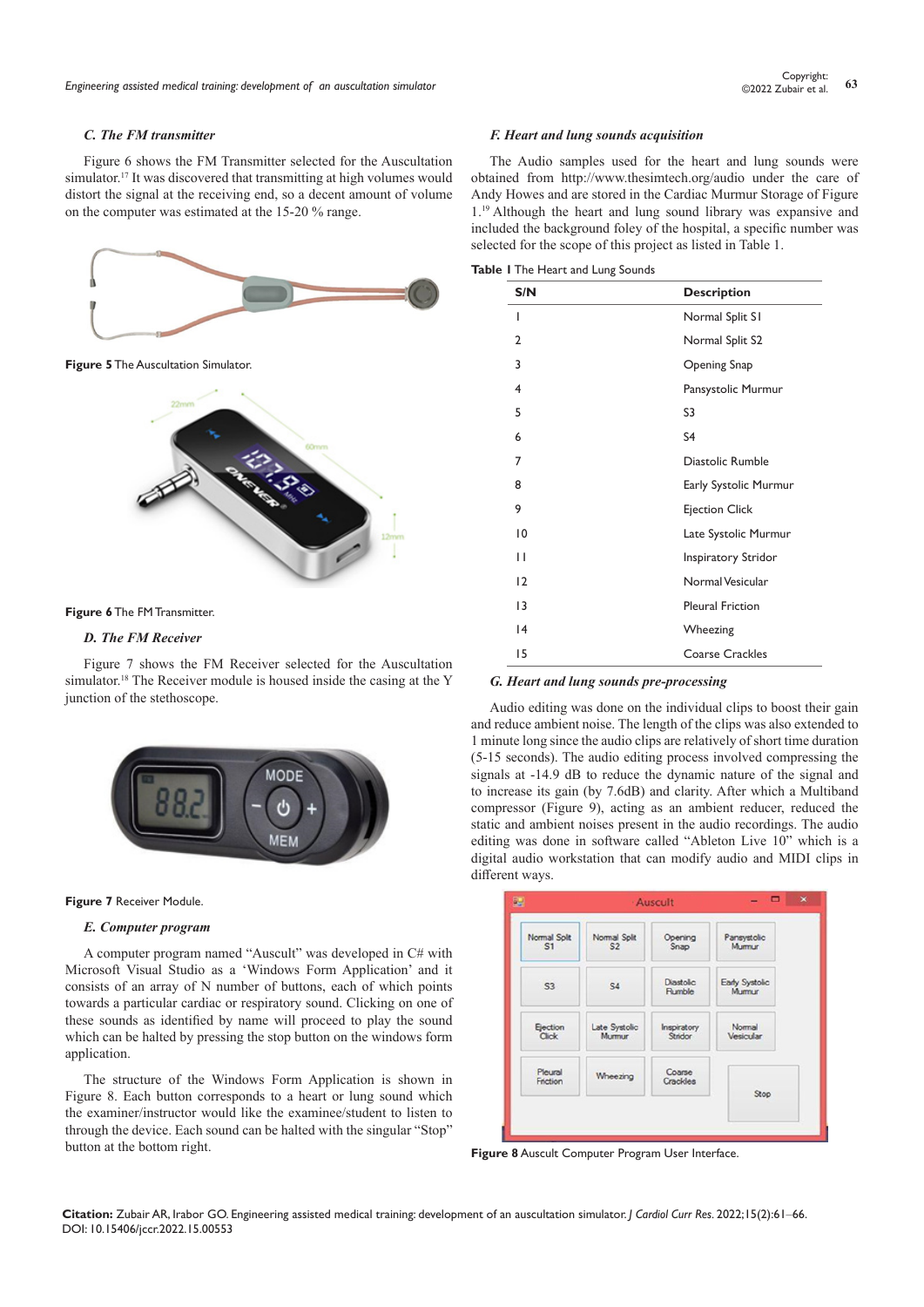#### *C. The FM transmitter*

Figure 6 shows the FM Transmitter selected for the Auscultation simulator.<sup>17</sup> It was discovered that transmitting at high volumes would distort the signal at the receiving end, so a decent amount of volume on the computer was estimated at the 15-20 % range.



**Figure 6** The FM Transmitter.

## *D. The FM Receiver*

Figure 7 shows the FM Receiver selected for the Auscultation simulator.<sup>18</sup> The Receiver module is housed inside the casing at the Y junction of the stethoscope.





#### *E. Computer program*

A computer program named "Auscult" was developed in C# with Microsoft Visual Studio as a 'Windows Form Application' and it consists of an array of N number of buttons, each of which points towards a particular cardiac or respiratory sound. Clicking on one of these sounds as identified by name will proceed to play the sound which can be halted by pressing the stop button on the windows form application.

The structure of the Windows Form Application is shown in Figure 8. Each button corresponds to a heart or lung sound which the examiner/instructor would like the examinee/student to listen to through the device. Each sound can be halted with the singular "Stop" button at the bottom right.

#### *F. Heart and lung sounds acquisition*

The Audio samples used for the heart and lung sounds were obtained from <http://www.thesimtech.org/audio> under the care of Andy Howes and are stored in the Cardiac Murmur Storage of Figure 1.19 Although the heart and lung sound library was expansive and included the background foley of the hospital, a specific number was selected for the scope of this project as listed in Table 1.

| S/N            | <b>Description</b>      |
|----------------|-------------------------|
| ı              | Normal Split S1         |
| 2              | Normal Split S2         |
| 3              | Opening Snap            |
| $\overline{4}$ | Pansystolic Murmur      |
| 5              | S3                      |
| 6              | S <sub>4</sub>          |
| 7              | Diastolic Rumble        |
| 8              | Early Systolic Murmur   |
| 9              | <b>Ejection Click</b>   |
| $\overline{0}$ | Late Systolic Murmur    |
| П              | Inspiratory Stridor     |
| 12             | Normal Vesicular        |
| 13             | <b>Pleural Friction</b> |
| 4              | Wheezing                |
| 15             | Coarse Crackles         |

#### *G. Heart and lung sounds pre-processing*

Audio editing was done on the individual clips to boost their gain and reduce ambient noise. The length of the clips was also extended to 1 minute long since the audio clips are relatively of short time duration (5-15 seconds). The audio editing process involved compressing the signals at -14.9 dB to reduce the dynamic nature of the signal and to increase its gain (by 7.6dB) and clarity. After which a Multiband compressor (Figure 9), acting as an ambient reducer, reduced the static and ambient noises present in the audio recordings. The audio editing was done in software called "Ableton Live 10" which is a digital audio workstation that can modify audio and MIDI clips in different ways.

| Normal Split        | Normal Split   | Opening             | Pansystolic             |
|---------------------|----------------|---------------------|-------------------------|
| S1                  | S <sub>2</sub> | Snap                | Mumur                   |
| S <sub>3</sub>      | <b>S4</b>      | Diastolic<br>Rumble | Early Systolic<br>Mumur |
| Ejection            | Late Systolic  | Inspiratory         | Normal                  |
| Click               | Mumur          | Stridor             | Vesicular               |
| Pleural<br>Friction | Wheezing       | Coarse<br>Crackles  | Stop                    |

**Figure 8** Auscult Computer Program User Interface.

**Citation:** Zubair AR, Irabor GO. Engineering assisted medical training: development of an auscultation simulator. *J Cardiol Curr Res.* 2022;15(2):61‒66. DOI: [10.15406/jccr.2022.15.00553](https://doi.org/10.15406/jccr.2022.15.00553)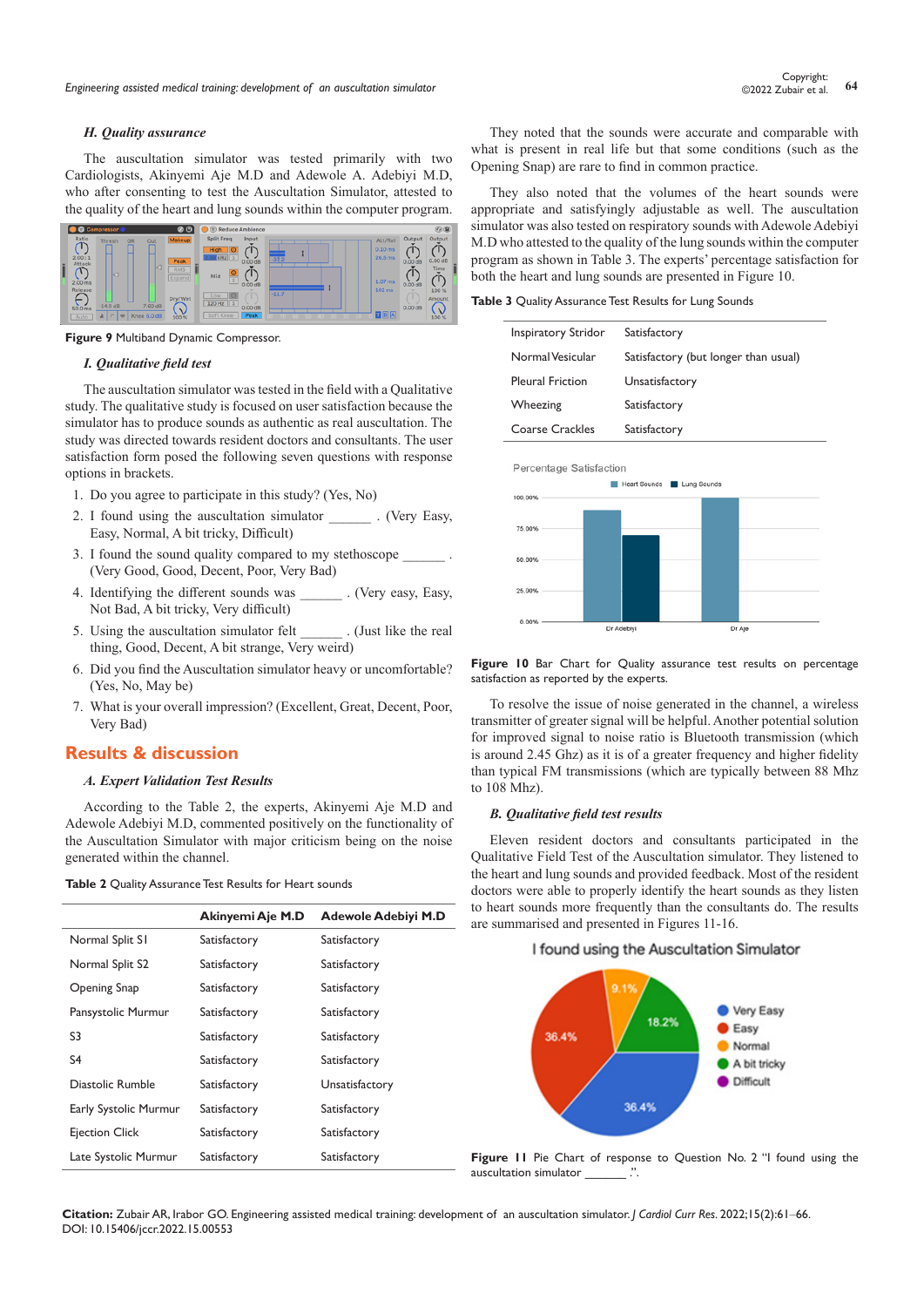#### *H. Quality assurance*

The auscultation simulator was tested primarily with two Cardiologists, Akinyemi Aje M.D and Adewole A. Adebiyi M.D, who after consenting to test the Auscultation Simulator, attested to the quality of the heart and lung sounds within the computer program.



**Figure 9** Multiband Dynamic Compressor.

#### *I. Qualitative field test*

The auscultation simulator was tested in the field with a Qualitative study. The qualitative study is focused on user satisfaction because the simulator has to produce sounds as authentic as real auscultation. The study was directed towards resident doctors and consultants. The user satisfaction form posed the following seven questions with response options in brackets.

- 1. Do you agree to participate in this study? (Yes, No)
- 2. I found using the auscultation simulator . (Very Easy, Easy, Normal, A bit tricky, Difficult)
- 3. I found the sound quality compared to my stethoscope (Very Good, Good, Decent, Poor, Very Bad)
- 4. Identifying the different sounds was . (Very easy, Easy, Not Bad, A bit tricky, Very difficult)
- 5. Using the auscultation simulator felt . (Just like the real thing, Good, Decent, A bit strange, Very weird)
- 6. Did you find the Auscultation simulator heavy or uncomfortable? (Yes, No, May be)
- 7. What is your overall impression? (Excellent, Great, Decent, Poor, Very Bad)

## **Results & discussion**

## *A. Expert Validation Test Results*

According to the Table 2, the experts, Akinyemi Aje M.D and Adewole Adebiyi M.D, commented positively on the functionality of the Auscultation Simulator with major criticism being on the noise generated within the channel.

| Table 2 Quality Assurance Test Results for Heart sounds |  |  |
|---------------------------------------------------------|--|--|
|---------------------------------------------------------|--|--|

|                       | Akinyemi Aje M.D | <b>Adewole Adebiyi M.D</b> |
|-----------------------|------------------|----------------------------|
| Normal Split S1       | Satisfactory     | Satisfactory               |
| Normal Split S2       | Satisfactory     | Satisfactory               |
| Opening Snap          | Satisfactory     | Satisfactory               |
| Pansystolic Murmur    | Satisfactory     | Satisfactory               |
| S3                    | Satisfactory     | Satisfactory               |
| S4                    | Satisfactory     | Satisfactory               |
| Diastolic Rumble      | Satisfactory     | Unsatisfactory             |
| Early Systolic Murmur | Satisfactory     | Satisfactory               |
| <b>Ejection Click</b> | Satisfactory     | Satisfactory               |
| Late Systolic Murmur  | Satisfactory     | Satisfactory               |

They noted that the sounds were accurate and comparable with what is present in real life but that some conditions (such as the Opening Snap) are rare to find in common practice.

They also noted that the volumes of the heart sounds were appropriate and satisfyingly adjustable as well. The auscultation simulator was also tested on respiratory sounds with Adewole Adebiyi M.D who attested to the quality of the lung sounds within the computer program as shown in Table 3. The experts' percentage satisfaction for both the heart and lung sounds are presented in Figure 10.

**Table 3** Quality Assurance Test Results for Lung Sounds

| Inspiratory Stridor     | Satisfactory                         |
|-------------------------|--------------------------------------|
| Normal Vesicular        | Satisfactory (but longer than usual) |
| <b>Pleural Friction</b> | Unsatisfactory                       |
| Wheezing                | Satisfactory                         |
| Coarse Crackles         | Satisfactory                         |
|                         |                                      |



Figure 10 Bar Chart for Quality assurance test results on percentage satisfaction as reported by the experts.

To resolve the issue of noise generated in the channel, a wireless transmitter of greater signal will be helpful. Another potential solution for improved signal to noise ratio is Bluetooth transmission (which is around 2.45 Ghz) as it is of a greater frequency and higher fidelity than typical FM transmissions (which are typically between 88 Mhz to 108 Mhz).

#### *B. Qualitative field test results*

Eleven resident doctors and consultants participated in the Qualitative Field Test of the Auscultation simulator. They listened to the heart and lung sounds and provided feedback. Most of the resident doctors were able to properly identify the heart sounds as they listen to heart sounds more frequently than the consultants do. The results are summarised and presented in Figures 11-16.

#### I found using the Auscultation Simulator



**Figure 11** Pie Chart of response to Question No. 2 "I found using the auscultation simulator \_\_\_\_\_\_ .".

**Citation:** Zubair AR, Irabor GO. Engineering assisted medical training: development of an auscultation simulator. *J Cardiol Curr Res.* 2022;15(2):61‒66. DOI: [10.15406/jccr.2022.15.00553](https://doi.org/10.15406/jccr.2022.15.00553)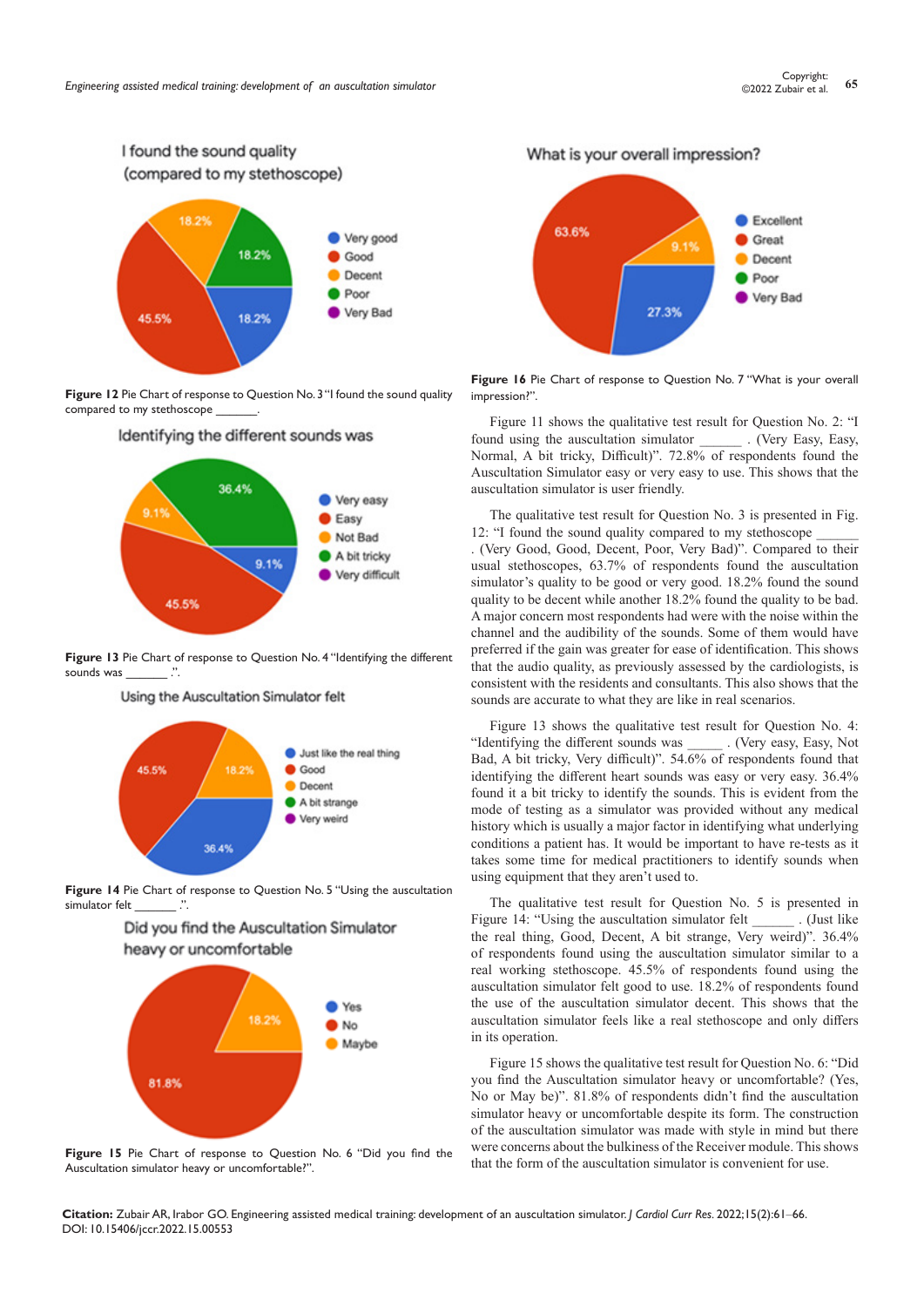

**Figure 12** Pie Chart of response to Question No. 3 "I found the sound quality compared to my stethoscope



Identifying the different sounds was

**Figure 13** Pie Chart of response to Question No. 4 "Identifying the different sounds was  $\cdots$ 

Using the Auscultation Simulator felt



**Figure 14** Pie Chart of response to Question No. 5 "Using the auscultation simulator felt





**Figure 15** Pie Chart of response to Question No. 6 "Did you find the Auscultation simulator heavy or uncomfortable?".

What is your overall impression?



**Figure 16** Pie Chart of response to Question No. 7 "What is your overall impression?".

Figure 11 shows the qualitative test result for Question No. 2: "I found using the auscultation simulator . (Very Easy, Easy, Normal, A bit tricky, Difficult)". 72.8% of respondents found the Auscultation Simulator easy or very easy to use. This shows that the auscultation simulator is user friendly.

The qualitative test result for Question No. 3 is presented in Fig. 12: "I found the sound quality compared to my stethoscope . (Very Good, Good, Decent, Poor, Very Bad)". Compared to their usual stethoscopes, 63.7% of respondents found the auscultation simulator's quality to be good or very good. 18.2% found the sound quality to be decent while another 18.2% found the quality to be bad. A major concern most respondents had were with the noise within the channel and the audibility of the sounds. Some of them would have preferred if the gain was greater for ease of identification. This shows that the audio quality, as previously assessed by the cardiologists, is consistent with the residents and consultants. This also shows that the sounds are accurate to what they are like in real scenarios.

Figure 13 shows the qualitative test result for Question No. 4: "Identifying the different sounds was \_\_\_\_\_ . (Very easy, Easy, Not Bad, A bit tricky, Very difficult)". 54.6% of respondents found that identifying the different heart sounds was easy or very easy. 36.4% found it a bit tricky to identify the sounds. This is evident from the mode of testing as a simulator was provided without any medical history which is usually a major factor in identifying what underlying conditions a patient has. It would be important to have re-tests as it takes some time for medical practitioners to identify sounds when using equipment that they aren't used to.

The qualitative test result for Question No. 5 is presented in Figure 14: "Using the auscultation simulator felt \_\_\_\_\_\_\_\_. (Just like the real thing, Good, Decent, A bit strange, Very weird)". 36.4% of respondents found using the auscultation simulator similar to a real working stethoscope. 45.5% of respondents found using the auscultation simulator felt good to use. 18.2% of respondents found the use of the auscultation simulator decent. This shows that the auscultation simulator feels like a real stethoscope and only differs in its operation.

Figure 15 shows the qualitative test result for Question No. 6: "Did you find the Auscultation simulator heavy or uncomfortable? (Yes, No or May be)". 81.8% of respondents didn't find the auscultation simulator heavy or uncomfortable despite its form. The construction of the auscultation simulator was made with style in mind but there were concerns about the bulkiness of the Receiver module. This shows that the form of the auscultation simulator is convenient for use.

**Citation:** Zubair AR, Irabor GO. Engineering assisted medical training: development of an auscultation simulator. *J Cardiol Curr Res.* 2022;15(2):61‒66. DOI: [10.15406/jccr.2022.15.00553](https://doi.org/10.15406/jccr.2022.15.00553)